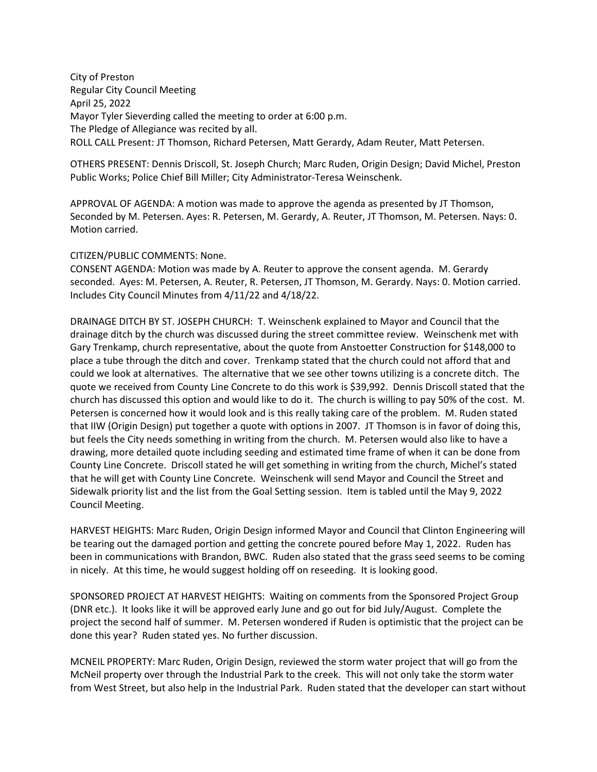City of Preston Regular City Council Meeting April 25, 2022 Mayor Tyler Sieverding called the meeting to order at 6:00 p.m. The Pledge of Allegiance was recited by all. ROLL CALL Present: JT Thomson, Richard Petersen, Matt Gerardy, Adam Reuter, Matt Petersen.

OTHERS PRESENT: Dennis Driscoll, St. Joseph Church; Marc Ruden, Origin Design; David Michel, Preston Public Works; Police Chief Bill Miller; City Administrator-Teresa Weinschenk.

APPROVAL OF AGENDA: A motion was made to approve the agenda as presented by JT Thomson, Seconded by M. Petersen. Ayes: R. Petersen, M. Gerardy, A. Reuter, JT Thomson, M. Petersen. Nays: 0. Motion carried.

## CITIZEN/PUBLIC COMMENTS: None.

CONSENT AGENDA: Motion was made by A. Reuter to approve the consent agenda. M. Gerardy seconded. Ayes: M. Petersen, A. Reuter, R. Petersen, JT Thomson, M. Gerardy. Nays: 0. Motion carried. Includes City Council Minutes from 4/11/22 and 4/18/22.

DRAINAGE DITCH BY ST. JOSEPH CHURCH: T. Weinschenk explained to Mayor and Council that the drainage ditch by the church was discussed during the street committee review. Weinschenk met with Gary Trenkamp, church representative, about the quote from Anstoetter Construction for \$148,000 to place a tube through the ditch and cover. Trenkamp stated that the church could not afford that and could we look at alternatives. The alternative that we see other towns utilizing is a concrete ditch. The quote we received from County Line Concrete to do this work is \$39,992. Dennis Driscoll stated that the church has discussed this option and would like to do it. The church is willing to pay 50% of the cost. M. Petersen is concerned how it would look and is this really taking care of the problem. M. Ruden stated that IIW (Origin Design) put together a quote with options in 2007. JT Thomson is in favor of doing this, but feels the City needs something in writing from the church. M. Petersen would also like to have a drawing, more detailed quote including seeding and estimated time frame of when it can be done from County Line Concrete. Driscoll stated he will get something in writing from the church, Michel's stated that he will get with County Line Concrete. Weinschenk will send Mayor and Council the Street and Sidewalk priority list and the list from the Goal Setting session. Item is tabled until the May 9, 2022 Council Meeting.

HARVEST HEIGHTS: Marc Ruden, Origin Design informed Mayor and Council that Clinton Engineering will be tearing out the damaged portion and getting the concrete poured before May 1, 2022. Ruden has been in communications with Brandon, BWC. Ruden also stated that the grass seed seems to be coming in nicely. At this time, he would suggest holding off on reseeding. It is looking good.

SPONSORED PROJECT AT HARVEST HEIGHTS: Waiting on comments from the Sponsored Project Group (DNR etc.). It looks like it will be approved early June and go out for bid July/August. Complete the project the second half of summer. M. Petersen wondered if Ruden is optimistic that the project can be done this year? Ruden stated yes. No further discussion.

MCNEIL PROPERTY: Marc Ruden, Origin Design, reviewed the storm water project that will go from the McNeil property over through the Industrial Park to the creek. This will not only take the storm water from West Street, but also help in the Industrial Park. Ruden stated that the developer can start without